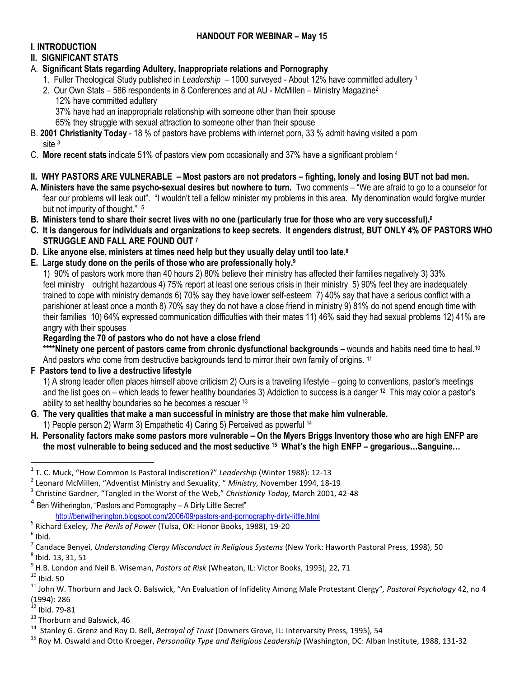# **HANDOUT FOR WEBINAR – May 15**

# **I. INTRODUCTION**

# **II. SIGNIFICANT STATS**

- A. **Significant Stats regarding Adultery, Inappropriate relations and Pornography**
	- 1. Fuller Theological Study published in *Leadership*  1000 surveyed About 12% have committed adultery <sup>1</sup>
	- 2. Our Own Stats 586 respondents in 8 Conferences and at AU McMillen Ministry Magazine<sup>2</sup> 12% have committed adultery
		- 37% have had an inappropriate relationship with someone other than their spouse
		- 65% they struggle with sexual attraction to someone other than their spouse
- B. **2001 Christianity Today** 18 % of pastors have problems with internet porn, 33 % admit having visited a porn site <sup>3</sup>
- C. **More recent stats** indicate 51% of pastors view porn occasionally and 37% have a significant problem <sup>4</sup>
- **II. WHY PASTORS ARE VULNERABLE – Most pastors are not predators – fighting, lonely and losing BUT not bad men.**
- **A. Ministers have the same psycho-sexual desires but nowhere to turn.** Two comments "We are afraid to go to a counselor for fear our problems will leak out". "I wouldn't tell a fellow minister my problems in this area. My denomination would forgive murder but not impurity of thought." 5
- **B. Ministers tend to share their secret lives with no one (particularly true for those who are very successful).<sup>6</sup>**
- **C. It is dangerous for individuals and organizations to keep secrets. It engenders distrust, BUT ONLY 4% OF PASTORS WHO STRUGGLE AND FALL ARE FOUND OUT <sup>7</sup>**
- **D. Like anyone else, ministers at times need help but they usually delay until too late.<sup>8</sup>**
- **E. Large study done on the perils of those who are professionally holy.<sup>9</sup>**

1) 90% of pastors work more than 40 hours 2) 80% believe their ministry has affected their families negatively 3) 33% feel ministry outright hazardous 4) 75% report at least one serious crisis in their ministry 5) 90% feel they are inadequately trained to cope with ministry demands 6) 70% say they have lower self-esteem 7) 40% say that have a serious conflict with a parishioner at least once a month 8) 70% say they do not have a close friend in ministry 9) 81% do not spend enough time with their families 10) 64% expressed communication difficulties with their mates 11) 46% said they had sexual problems 12) 41% are angry with their spouses

**Regarding the 70 of pastors who do not have a close friend** 

**\*\*\*\*Ninety one percent of pastors came from chronic dysfunctional backgrounds** – wounds and habits need time to heal.<sup>10</sup> And pastors who come from destructive backgrounds tend to mirror their own family of origins. <sup>11</sup>

**F Pastors tend to live a destructive lifestyle**

1) A strong leader often places himself above criticism 2) Ours is a traveling lifestyle – going to conventions, pastor's meetings and the list goes on – which leads to fewer healthy boundaries 3) Addiction to success is a danger <sup>12</sup> This may color a pastor's ability to set healthy boundaries so he becomes a rescuer <sup>13</sup>

- **G. The very qualities that make a man successful in ministry are those that make him vulnerable.** 1) People person 2) Warm 3) Empathetic 4) Caring 5) Perceived as powerful <sup>14</sup>
- **H. Personality factors make some pastors more vulnerable – On the Myers Briggs Inventory those who are high ENFP are the most vulnerable to being seduced and the most seductive <sup>15</sup> What's the high ENFP – gregarious…Sanguine…**

- 5 Richard Exeley, *The Perils of Power* (Tulsa, OK: Honor Books, 1988), 19-20
- $<sup>6</sup>$  Ibid.</sup>

9 H.B. London and Neil B. Wiseman, *Pastors at Risk* (Wheaton, IL: Victor Books, 1993), 22, 71

 $10$  Ibid. 50

- $^{12}$  Ibid. 79-81
- <sup>13</sup> Thorburn and Balswick, 46

 1 T. C. Muck, "How Common Is Pastoral Indiscretion?" *Leadership* (Winter 1988): 12-13

<sup>2</sup> Leonard McMillen, "Adventist Ministry and Sexuality, " *Ministry,* November 1994, 18-19

<sup>3</sup> Christine Gardner, "Tangled in the Worst of the Web," *Christianity Today,* March 2001, 42-48

<sup>&</sup>lt;sup>4</sup> Ben Witherington, "Pastors and Pornography – A Dirty Little Secret"

<http://benwitherington.blogspot.com/2006/09/pastors-and-pornography-dirty-little.html>

<sup>&</sup>lt;sup>7</sup> Candace Benyei, *Understanding Clergy Misconduct in Religious Systems* (New York: Haworth Pastoral Press, 1998), 50  $^8$  Ibid. 13, 31, 51

<sup>11</sup> John W. Thorburn and Jack O. Balswick, "An Evaluation of Infidelity Among Male Protestant Clergy"*, Pastoral Psychology* 42, no 4 (1994): 286

<sup>&</sup>lt;sup>14</sup> Stanley G. Grenz and Roy D. Bell, *Betrayal of Trust (*Downers Grove, IL: Intervarsity Press, 1995), 54

<sup>15</sup> Roy M. Oswald and Otto Kroeger, *Personality Type and Religious Leadership* (Washington, DC: Alban Institute, 1988, 131-32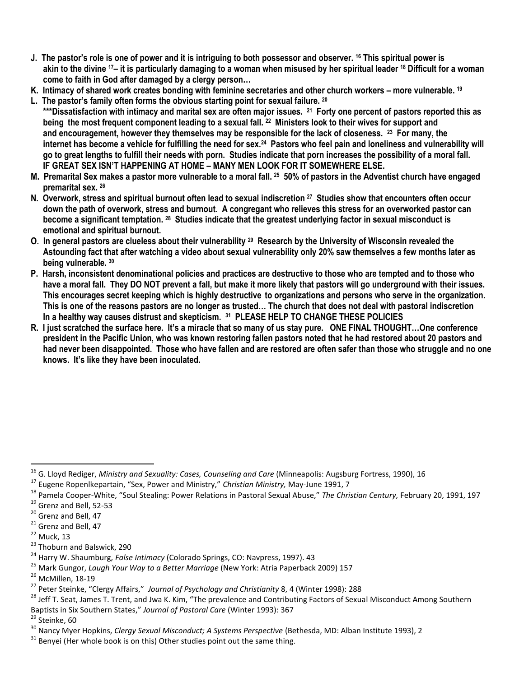- **J. The pastor's role is one of power and it is intriguing to both possessor and observer. <sup>16</sup> This spiritual power is akin to the divine 17– it is particularly damaging to a woman when misused by her spiritual leader <sup>18</sup> Difficult for a woman come to faith in God after damaged by a clergy person…**
- **K. Intimacy of shared work creates bonding with feminine secretaries and other church workers – more vulnerable. <sup>19</sup>**
- **L. The pastor's family often forms the obvious starting point for sexual failure. <sup>20</sup> \*\*\*Dissatisfaction with intimacy and marital sex are often major issues. <sup>21</sup> Forty one percent of pastors reported this as being the most frequent component leading to a sexual fall. <sup>22</sup> Ministers look to their wives for support and and encouragement, however they themselves may be responsible for the lack of closeness. <sup>23</sup> For many, the internet has become a vehicle for fulfilling the need for sex.<sup>24</sup> Pastors who feel pain and loneliness and vulnerability will go to great lengths to fulfill their needs with porn. Studies indicate that porn increases the possibility of a moral fall. IF GREAT SEX ISN'T HAPPENING AT HOME – MANY MEN LOOK FOR IT SOMEWHERE ELSE.**
- **M. Premarital Sex makes a pastor more vulnerable to a moral fall. <sup>25</sup> 50% of pastors in the Adventist church have engaged premarital sex. <sup>26</sup>**
- **N. Overwork, stress and spiritual burnout often lead to sexual indiscretion <sup>27</sup> Studies show that encounters often occur down the path of overwork, stress and burnout. A congregant who relieves this stress for an overworked pastor can become a significant temptation. <sup>28</sup> Studies indicate that the greatest underlying factor in sexual misconduct is emotional and spiritual burnout.**
- **O. In general pastors are clueless about their vulnerability <sup>29</sup> Research by the University of Wisconsin revealed the Astounding fact that after watching a video about sexual vulnerability only 20% saw themselves a few months later as being vulnerable. <sup>30</sup>**
- **P. Harsh, inconsistent denominational policies and practices are destructive to those who are tempted and to those who have a moral fall. They DO NOT prevent a fall, but make it more likely that pastors will go underground with their issues. This encourages secret keeping which is highly destructive to organizations and persons who serve in the organization. This is one of the reasons pastors are no longer as trusted… The church that does not deal with pastoral indiscretion In a healthy way causes distrust and skepticism. <sup>31</sup> PLEASE HELP TO CHANGE THESE POLICIES**
- **R. I just scratched the surface here. It's a miracle that so many of us stay pure. ONE FINAL THOUGHT…One conference president in the Pacific Union, who was known restoring fallen pastors noted that he had restored about 20 pastors and had never been disappointed. Those who have fallen and are restored are often safer than those who struggle and no one knows. It's like they have been inoculated.**

<sup>18</sup> Pamela Cooper-White, "Soul Stealing: Power Relations in Pastoral Sexual Abuse," *The Christian Century,* February 20, 1991, 197 <sup>19</sup> Grenz and Bell, 52-53

 $\overline{a}$ 

<sup>&</sup>lt;sup>16</sup> G. Lloyd Rediger, *Ministry and Sexuality: Cases, Counseling and Care* (Minneapolis: Augsburg Fortress, 1990), 16

<sup>17</sup> Eugene Ropenlkepartain, "Sex, Power and Ministry," *Christian Ministry,* May-June 1991, 7

 $20$  Grenz and Bell, 47

<sup>&</sup>lt;sup>21</sup> Grenz and Bell, 47

 $22$  Muck, 13

<sup>&</sup>lt;sup>23</sup> Thoburn and Balswick, 290

<sup>24</sup> Harry W. Shaumburg, *False Intimacy* (Colorado Springs, CO: Navpress, 1997). 43

<sup>25</sup> Mark Gungor, *Laugh Your Way to a Better Marriage* (New York: Atria Paperback 2009) 157

<sup>&</sup>lt;sup>26</sup> McMillen, 18-19

<sup>27</sup> Peter Steinke, "Clergy Affairs," *Journal of Psychology and Christianity* 8, 4 (Winter 1998): 288

<sup>&</sup>lt;sup>28</sup> Jeff T. Seat, James T. Trent, and Jwa K. Kim, "The prevalence and Contributing Factors of Sexual Misconduct Among Southern Baptists in Six Southern States," *Journal of Pastoral Care* (Winter 1993): 367

<sup>&</sup>lt;sup>29</sup> Steinke, 60

<sup>&</sup>lt;sup>30</sup> Nancy Myer Hopkins, *Clergy Sexual Misconduct; A Systems Perspective* (Bethesda, MD: Alban Institute 1993), 2

 $31$  Benvei (Her whole book is on this) Other studies point out the same thing.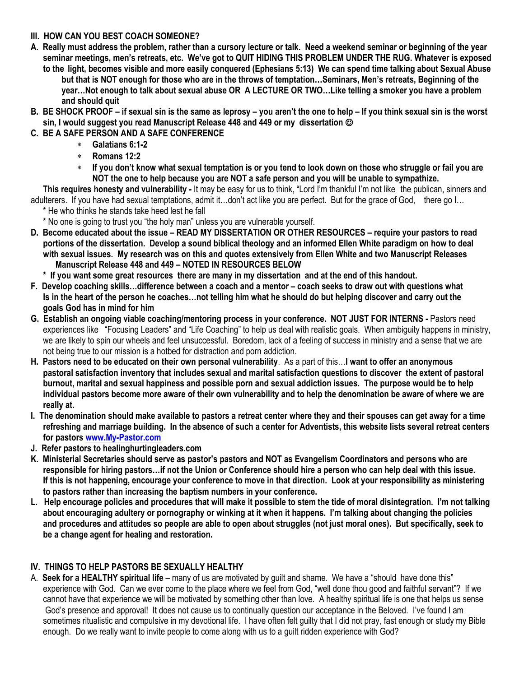## **III. HOW CAN YOU BEST COACH SOMEONE?**

- **A. Really must address the problem, rather than a cursory lecture or talk. Need a weekend seminar or beginning of the year seminar meetings, men's retreats, etc. We've got to QUIT HIDING THIS PROBLEM UNDER THE RUG. Whatever is exposed to the light, becomes visible and more easily conquered (Ephesians 5:13) We can spend time talking about Sexual Abuse** 
	- **but that is NOT enough for those who are in the throws of temptation…Seminars, Men's retreats, Beginning of the year…Not enough to talk about sexual abuse OR A LECTURE OR TWO…Like telling a smoker you have a problem and should quit**
- **B. BE SHOCK PROOF – if sexual sin is the same as leprosy – you aren't the one to help – If you think sexual sin is the worst sin, I would suggest you read Manuscript Release 448 and 449 or my dissertation**
- **C. BE A SAFE PERSON AND A SAFE CONFERENCE**
	- **Galatians 6:1-2**
	- **Romans 12:2**
	- **If you don't know what sexual temptation is or you tend to look down on those who struggle or fail you are NOT the one to help because you are NOT a safe person and you will be unable to sympathize.**

**This requires honesty and vulnerability -** It may be easy for us to think, "Lord I'm thankful I'm not like the publican, sinners and adulterers. If you have had sexual temptations, admit it…don't act like you are perfect. But for the grace of God, there go I…

\* He who thinks he stands take heed lest he fall

- \* No one is going to trust you "the holy man" unless you are vulnerable yourself.
- **D. Become educated about the issue – READ MY DISSERTATION OR OTHER RESOURCES – require your pastors to read portions of the dissertation. Develop a sound biblical theology and an informed Ellen White paradigm on how to deal with sexual issues. My research was on this and quotes extensively from Ellen White and two Manuscript Releases Manuscript Release 448 and 449 – NOTED IN RESOURCES BELOW**
	- **\* If you want some great resources there are many in my dissertation and at the end of this handout.**
- **F. Develop coaching skills…difference between a coach and a mentor – coach seeks to draw out with questions what Is in the heart of the person he coaches…not telling him what he should do but helping discover and carry out the goals God has in mind for him**
- **G. Establish an ongoing viable coaching/mentoring process in your conference. NOT JUST FOR INTERNS -** Pastors need experiences like "Focusing Leaders" and "Life Coaching" to help us deal with realistic goals. When ambiguity happens in ministry, we are likely to spin our wheels and feel unsuccessful. Boredom, lack of a feeling of success in ministry and a sense that we are not being true to our mission is a hotbed for distraction and porn addiction.
- **H. Pastors need to be educated on their own personal vulnerability**. As a part of this…**I want to offer an anonymous pastoral satisfaction inventory that includes sexual and marital satisfaction questions to discover the extent of pastoral burnout, marital and sexual happiness and possible porn and sexual addiction issues. The purpose would be to help individual pastors become more aware of their own vulnerability and to help the denomination be aware of where we are really at.**
- **I. The denomination should make available to pastors a retreat center where they and their spouses can get away for a time refreshing and marriage building. In the absence of such a center for Adventists, this website lists several retreat centers for pastors [www.My-Pastor.com](http://www.my-pastor.com/)**
- **J. Refer pastors to healinghurtingleaders.com**
- **K. Ministerial Secretaries should serve as pastor's pastors and NOT as Evangelism Coordinators and persons who are responsible for hiring pastors…if not the Union or Conference should hire a person who can help deal with this issue. If this is not happening, encourage your conference to move in that direction. Look at your responsibility as ministering to pastors rather than increasing the baptism numbers in your conference.**
- **L. Help encourage policies and procedures that will make it possible to stem the tide of moral disintegration. I'm not talking about encouraging adultery or pornography or winking at it when it happens. I'm talking about changing the policies and procedures and attitudes so people are able to open about struggles (not just moral ones). But specifically, seek to be a change agent for healing and restoration.**

# **IV. THINGS TO HELP PASTORS BE SEXUALLY HEALTHY**

A. **Seek for a HEALTHY spiritual life** – many of us are motivated by guilt and shame. We have a "should have done this" experience with God. Can we ever come to the place where we feel from God, "well done thou good and faithful servant"? If we cannot have that experience we will be motivated by something other than love. A healthy spiritual life is one that helps us sense God's presence and approval! It does not cause us to continually question our acceptance in the Beloved. I've found I am sometimes ritualistic and compulsive in my devotional life. I have often felt guilty that I did not pray, fast enough or study my Bible enough. Do we really want to invite people to come along with us to a guilt ridden experience with God?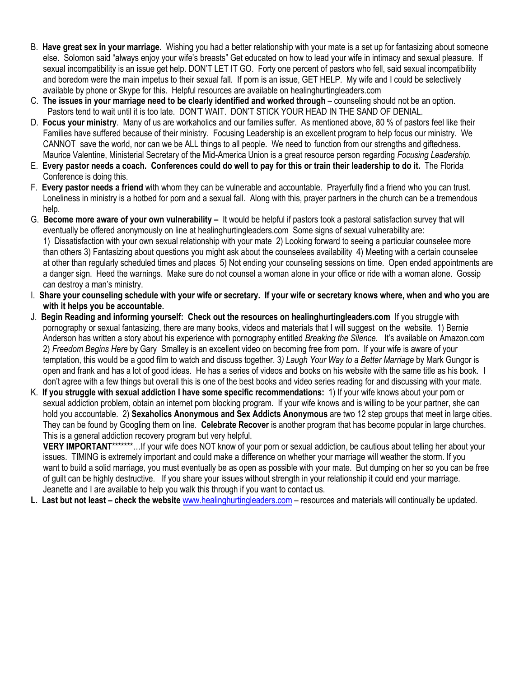- B. **Have great sex in your marriage.** Wishing you had a better relationship with your mate is a set up for fantasizing about someone else. Solomon said "always enjoy your wife's breasts" Get educated on how to lead your wife in intimacy and sexual pleasure. If sexual incompatibility is an issue get help. DON'T LET IT GO. Forty one percent of pastors who fell, said sexual incompatibility and boredom were the main impetus to their sexual fall. If porn is an issue, GET HELP. My wife and I could be selectively available by phone or Skype for this. Helpful resources are available on healinghurtingleaders.com
- C. **The issues in your marriage need to be clearly identified and worked through** counseling should not be an option. Pastors tend to wait until it is too late. DON'T WAIT. DON'T STICK YOUR HEAD IN THE SAND OF DENIAL.
- D. **Focus your ministry**. Many of us are workaholics and our families suffer. As mentioned above, 80 % of pastors feel like their Families have suffered because of their ministry. Focusing Leadership is an excellent program to help focus our ministry. We CANNOT save the world, nor can we be ALL things to all people. We need to function from our strengths and giftedness. Maurice Valentine, Ministerial Secretary of the Mid-America Union is a great resource person regarding *Focusing Leadership.*
- E. **Every pastor needs a coach. Conferences could do well to pay for this or train their leadership to do it.** The Florida Conference is doing this.
- F. **Every pastor needs a friend** with whom they can be vulnerable and accountable. Prayerfully find a friend who you can trust. Loneliness in ministry is a hotbed for porn and a sexual fall. Along with this, prayer partners in the church can be a tremendous help.
- G. **Become more aware of your own vulnerability –** It would be helpful if pastors took a pastoral satisfaction survey that will eventually be offered anonymously on line at healinghurtingleaders.com Some signs of sexual vulnerability are: 1) Dissatisfaction with your own sexual relationship with your mate 2) Looking forward to seeing a particular counselee more than others 3) Fantasizing about questions you might ask about the counselees availability 4) Meeting with a certain counselee at other than regularly scheduled times and places 5) Not ending your counseling sessions on time. Open ended appointments are a danger sign. Heed the warnings. Make sure do not counsel a woman alone in your office or ride with a woman alone. Gossip can destroy a man's ministry.
- I. **Share your counseling schedule with your wife or secretary. If your wife or secretary knows where, when and who you are with it helps you be accountable.**
- J. **Begin Reading and informing yourself: Check out the resources on healinghurtingleaders.com** If you struggle with pornography or sexual fantasizing, there are many books, videos and materials that I will suggest on the website. 1) Bernie Anderson has written a story about his experience with pornography entitled *Breaking the Silence.* It's available on Amazon.com 2) *Freedom Begins Here* by Gary Smalley is an excellent video on becoming free from porn. If your wife is aware of your temptation, this would be a good film to watch and discuss together. 3*) Laugh Your Way to a Better Marriage* by Mark Gungor is open and frank and has a lot of good ideas. He has a series of videos and books on his website with the same title as his book. I don't agree with a few things but overall this is one of the best books and video series reading for and discussing with your mate.
- K. **If you struggle with sexual addiction I have some specific recommendations:** 1) If your wife knows about your porn or sexual addiction problem, obtain an internet porn blocking program. If your wife knows and is willing to be your partner, she can hold you accountable. 2) **Sexaholics Anonymous and Sex Addicts Anonymous** are two 12 step groups that meet in large cities. They can be found by Googling them on line. **Celebrate Recover** is another program that has become popular in large churches. This is a general addiction recovery program but very helpful.

**VERY IMPORTANT**\*\*\*\*\*\*\*…If your wife does NOT know of your porn or sexual addiction, be cautious about telling her about your issues. TIMING is extremely important and could make a difference on whether your marriage will weather the storm. If you want to build a solid marriage, you must eventually be as open as possible with your mate. But dumping on her so you can be free of guilt can be highly destructive. If you share your issues without strength in your relationship it could end your marriage. Jeanette and I are available to help you walk this through if you want to contact us.

**L. Last but not least – check the website** [www.healinghurtingleaders.com](http://www.healinghurtingleaders.com/) – resources and materials will continually be updated.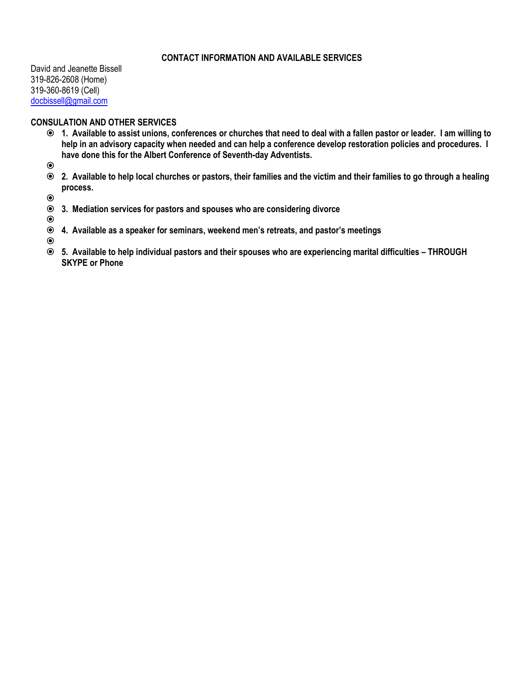## **CONTACT INFORMATION AND AVAILABLE SERVICES**

David and Jeanette Bissell 319-826-2608 (Home) 319-360-8619 (Cell) [docbissell@gmail.com](mailto:docbissell@gmail.com)

## **CONSULATION AND OTHER SERVICES**

 **1. Available to assist unions, conferences or churches that need to deal with a fallen pastor or leader. I am willing to help in an advisory capacity when needed and can help a conference develop restoration policies and procedures. I have done this for the Albert Conference of Seventh-day Adventists.** 

 $\odot$ 

 **2. Available to help local churches or pastors, their families and the victim and their families to go through a healing process.**

 $\odot$ 

**3. Mediation services for pastors and spouses who are considering divorce**

 $\odot$ 

**4. Available as a speaker for seminars, weekend men's retreats, and pastor's meetings**

 $\odot$ 

 **5. Available to help individual pastors and their spouses who are experiencing marital difficulties – THROUGH SKYPE or Phone**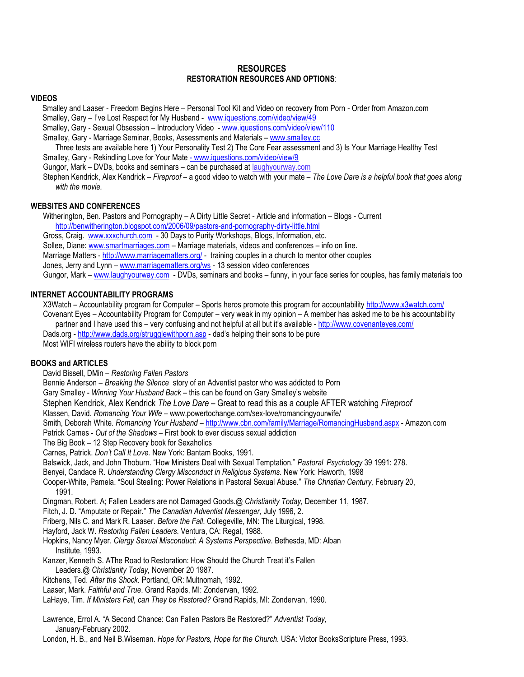### **RESOURCES RESTORATION RESOURCES AND OPTIONS**:

### **VIDEOS**

Smalley and Laaser - Freedom Begins Here – Personal Tool Kit and Video on recovery from Porn - Order from Amazon.com

- Smalley, Gary I've Lost Respect for My Husband [www.iquestions.com/video/view/49](http://www.iquestions.com/video/view/49)
- Smalley, Gary Sexual Obsession Introductory Video [www.iquestions.com/video/view/110](http://www.iquestions.com/video/view/110)
- Smalley, Gary Marriage Seminar, Books, Assessments and Materials [www.smalley.cc](http://www.smalley.cc/)

Three tests are available here 1) Your Personality Test 2) The Core Fear assessment and 3) Is Your Marriage Healthy Test Smalley, Gary - Rekindling Love for Your Mate - www.iquestions.com/video/view/9

Gungor, Mark – DVDs, books and seminars – can be purchased at laughyourway.com

[Stephen Kendrick,](http://www.christianbook.com/Christian/Books/search/1290329621?author=Stephen%20Kendrick&detailed_search=1&action=Search) [Alex Kendrick](http://www.christianbook.com/Christian/Books/search/1290329621?author=Alex%20Kendrick&detailed_search=1&action=Search) – *Fireproof –* a good video to watch with your mate – *The Love Dare is a helpful book that goes along with the movie.*

### **WEBSITES AND CONFERENCES**

Witherington, Ben. Pastors and Pornography – A Dirty Little Secret - Article and information – Blogs - Current <http://benwitherington.blogspot.com/2006/09/pastors-and-pornography-dirty-little.html> Gross, Craig. [www.xxxchurch.com](http://www.xxxchurch.com/) - 30 Days to Purity Workshops, Blogs, Information, etc.

Sollee, Diane[: www.smartmarriages.com](http://www.smartmarriages.com/) – Marriage materials, videos and conferences – info on line.

Marriage Matters - <http://www.marriagematters.org/> - training couples in a church to mentor other couples

Jones, Jerry and Lynn – [www.marriagematters.org/ws](http://www.marriagematters.org/ws) - 13 session video conferences

Gungor, Mark – [www.laughyourway.com](http://www.laughyourway.com/) - DVDs, seminars and books – funny, in your face series for couples, has family materials too

### **INTERNET ACCOUNTABILITY PROGRAMS**

X3Watch – Accountability program for Computer – Sports heros promote this program for accountability<http://www.x3watch.com/> Covenant Eyes – Accountability Program for Computer – very weak in my opinion – A member has asked me to be his accountability partner and I have used this – very confusing and not helpful at all but it's available - <http://www.covenanteyes.com/> Dads.org - <http://www.dads.org/strugglewithporn.asp> - dad's helping their sons to be pure Most WIFI wireless routers have the ability to block porn

### **BOOKS and ARTICLES**

David Bissell, DMin – *Restoring Fallen Pastors*

Bennie Anderson – *Breaking the Silence* story of an Adventist pastor who was addicted to Porn

Gary Smalley - *Winning Your Husband Back* – this can be found on Gary Smalley's website

[Stephen Kendrick,](http://www.christianbook.com/Christian/Books/search/1290329621?author=Stephen%20Kendrick&detailed_search=1&action=Search) [Alex Kendrick](http://www.christianbook.com/Christian/Books/search/1290329621?author=Alex%20Kendrick&detailed_search=1&action=Search) *The Love Dare –* Great to read this as a couple AFTER watching *Fireproof*

Klassen, David. *Romancing Your Wife* – www.powertochange.com/sex-love/romancingyourwife/

Smith, Deborah White. *Romancing Your Husband* – <http://www.cbn.com/family/Marriage/RomancingHusband.aspx> - Amazon.com

Patrick Carnes - *Out of the Shadows* – First book to ever discuss sexual addiction

The Big Book – 12 Step Recovery book for Sexaholics

Carnes, Patrick. *Don't Call It Love.* New York: Bantam Books, 1991.

Balswick, Jack, and John Thoburn. "How Ministers Deal with Sexual Temptation." *Pastoral Psychology* 39 1991: 278.

Benyei, Candace R. *Understanding Clergy Misconduct in Religious Systems*. New York: Haworth, 1998

Cooper-White, Pamela. "Soul Stealing: Power Relations in Pastoral Sexual Abuse." *The Christian Century,* February 20, 1991.

Dingman, Robert. A; Fallen Leaders are not Damaged Goods.@ *Christianity Today,* December 11, 1987.

Fitch, J. D. "Amputate or Repair." *The Canadian Adventist Messenger,* July 1996, 2.

Friberg, Nils C. and Mark R. Laaser. *Before the Fall*. Collegeville, MN: The Liturgical, 1998.

Hayford, Jack W. *Restoring Fallen Leaders*. Ventura, CA: Regal, 1988.

Hopkins, Nancy Myer. *Clergy Sexual Misconduct*: *A Systems Perspective*. Bethesda, MD: Alban Institute, 1993.

Kanzer, Kenneth S. AThe Road to Restoration: How Should the Church Treat it's Fallen

Leaders.@ *Christianity Today,* November 20 1987.

Kitchens, Ted. *After the Shock.* Portland, OR: Multnomah, 1992.

Laaser, Mark. *Faithful and True*. Grand Rapids, MI: Zondervan, 1992.

LaHaye, Tim. *If Ministers Fall, can They be Restored?* Grand Rapids, MI: Zondervan, 1990.

Lawrence, Errol A. "A Second Chance: Can Fallen Pastors Be Restored?" *Adventist Today,* January-February 2002.

London, H. B., and Neil B.Wiseman. *Hope for Pastors, Hope for the Church.* USA: Victor BooksScripture Press, 1993.